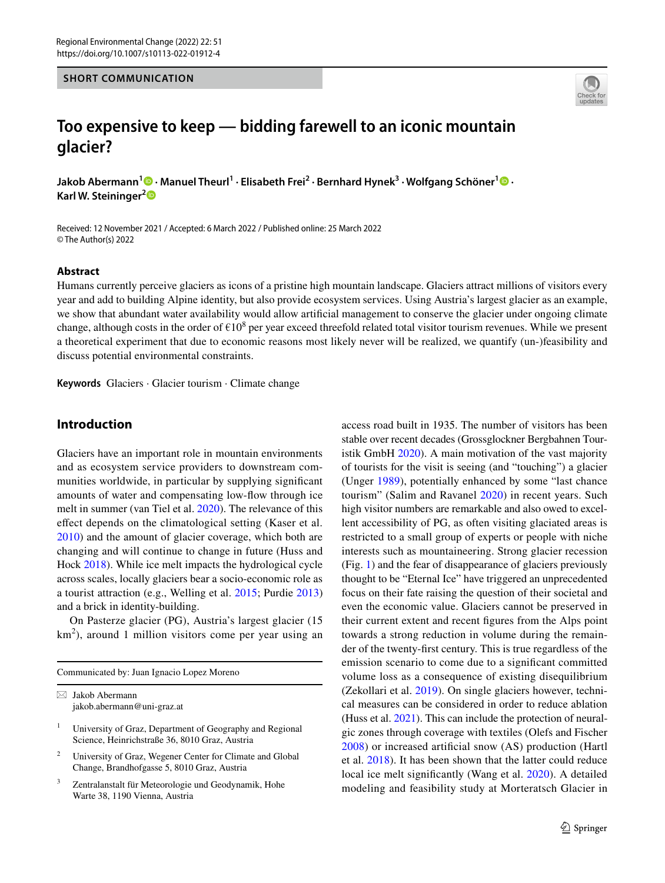#### **SHORT COMMUNICATION**



# **Too expensive to keep — bidding farewell to an iconic mountain glacier?**

**Jakob Abermann1 · Manuel Theurl1 · Elisabeth Frei2 · Bernhard Hynek3 · Wolfgang Schöner1  [·](http://orcid.org/0000-0001-6546-0639) Karl W. Steininger[2](http://orcid.org/0000-0003-3850-9315)**

Received: 12 November 2021 / Accepted: 6 March 2022 / Published online: 25 March 2022 © The Author(s) 2022

#### **Abstract**

Humans currently perceive glaciers as icons of a pristine high mountain landscape. Glaciers attract millions of visitors every year and add to building Alpine identity, but also provide ecosystem services. Using Austria's largest glacier as an example, we show that abundant water availability would allow artifcial management to conserve the glacier under ongoing climate change, although costs in the order of  $\epsilon 10^8$  per year exceed threefold related total visitor tourism revenues. While we present a theoretical experiment that due to economic reasons most likely never will be realized, we quantify (un-)feasibility and discuss potential environmental constraints.

**Keywords** Glaciers · Glacier tourism · Climate change

## **Introduction**

Glaciers have an important role in mountain environments and as ecosystem service providers to downstream communities worldwide, in particular by supplying signifcant amounts of water and compensating low-fow through ice melt in summer (van Tiel et al. [2020\)](#page-6-0). The relevance of this efect depends on the climatological setting (Kaser et al. [2010](#page-6-1)) and the amount of glacier coverage, which both are changing and will continue to change in future (Huss and Hock [2018](#page-5-0)). While ice melt impacts the hydrological cycle across scales, locally glaciers bear a socio-economic role as a tourist attraction (e.g., Welling et al. [2015](#page-6-2); Purdie [2013](#page-6-3)) and a brick in identity-building.

On Pasterze glacier (PG), Austria's largest glacier (15  $km<sup>2</sup>$ ), around 1 million visitors come per year using an

Communicated by: Juan Ignacio Lopez Moreno

- <sup>1</sup> University of Graz, Department of Geography and Regional Science, Heinrichstraße 36, 8010 Graz, Austria
- <sup>2</sup> University of Graz, Wegener Center for Climate and Global Change, Brandhofgasse 5, 8010 Graz, Austria
- Zentralanstalt für Meteorologie und Geodynamik, Hohe Warte 38, 1190 Vienna, Austria

access road built in 1935. The number of visitors has been stable over recent decades (Grossglockner Bergbahnen Touristik GmbH [2020\)](#page-5-1). A main motivation of the vast majority of tourists for the visit is seeing (and "touching") a glacier (Unger [1989](#page-6-4)), potentially enhanced by some "last chance tourism" (Salim and Ravanel [2020\)](#page-6-5) in recent years. Such high visitor numbers are remarkable and also owed to excellent accessibility of PG, as often visiting glaciated areas is restricted to a small group of experts or people with niche interests such as mountaineering. Strong glacier recession (Fig. [1\)](#page-1-0) and the fear of disappearance of glaciers previously thought to be "Eternal Ice" have triggered an unprecedented focus on their fate raising the question of their societal and even the economic value. Glaciers cannot be preserved in their current extent and recent fgures from the Alps point towards a strong reduction in volume during the remainder of the twenty-frst century. This is true regardless of the emission scenario to come due to a signifcant committed volume loss as a consequence of existing disequilibrium (Zekollari et al. [2019](#page-6-6)). On single glaciers however, technical measures can be considered in order to reduce ablation (Huss et al. [2021\)](#page-5-2). This can include the protection of neuralgic zones through coverage with textiles (Olefs and Fischer [2008\)](#page-6-7) or increased artifcial snow (AS) production (Hartl et al. [2018](#page-5-3)). It has been shown that the latter could reduce local ice melt signifcantly (Wang et al. [2020\)](#page-6-8). A detailed modeling and feasibility study at Morteratsch Glacier in

 $\boxtimes$  Jakob Abermann jakob.abermann@uni-graz.at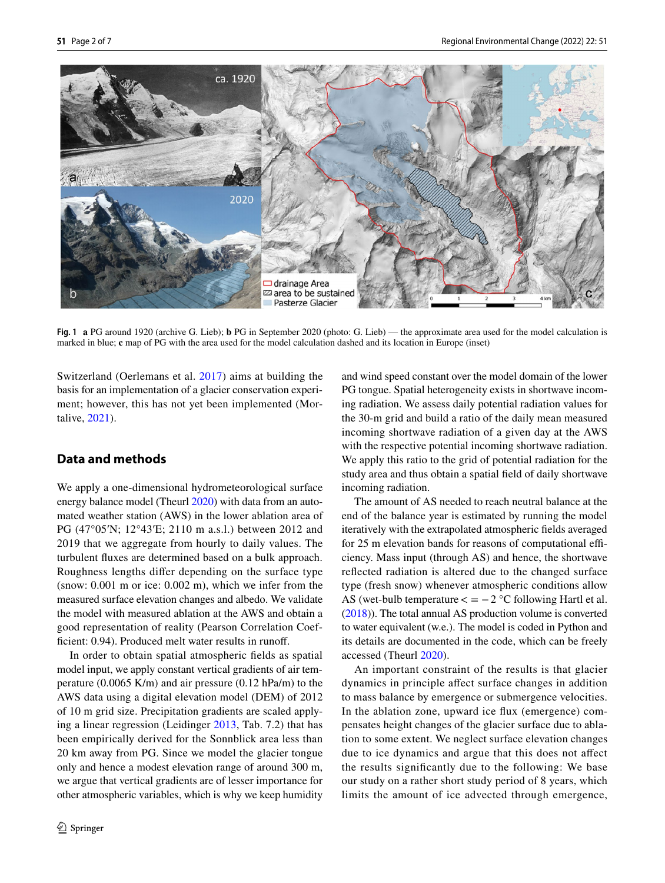

<span id="page-1-0"></span>**Fig. 1 a** PG around 1920 (archive G. Lieb); **b** PG in September 2020 (photo: G. Lieb) — the approximate area used for the model calculation is marked in blue; **c** map of PG with the area used for the model calculation dashed and its location in Europe (inset)

Switzerland (Oerlemans et al. [2017](#page-6-9)) aims at building the basis for an implementation of a glacier conservation experiment; however, this has not yet been implemented (Mortalive, [2021\)](#page-6-10).

# **Data and methods**

We apply a one-dimensional hydrometeorological surface energy balance model (Theurl [2020](#page-6-11)) with data from an automated weather station (AWS) in the lower ablation area of PG (47°05′N; 12°43′E; 2110 m a.s.l.) between 2012 and 2019 that we aggregate from hourly to daily values. The turbulent fuxes are determined based on a bulk approach. Roughness lengths difer depending on the surface type (snow: 0.001 m or ice: 0.002 m), which we infer from the measured surface elevation changes and albedo. We validate the model with measured ablation at the AWS and obtain a good representation of reality (Pearson Correlation Coefficient: 0.94). Produced melt water results in runoff.

In order to obtain spatial atmospheric felds as spatial model input, we apply constant vertical gradients of air temperature (0.0065 K/m) and air pressure (0.12 hPa/m) to the AWS data using a digital elevation model (DEM) of 2012 of 10 m grid size. Precipitation gradients are scaled applying a linear regression (Leidinger [2013,](#page-6-12) Tab. 7.2) that has been empirically derived for the Sonnblick area less than 20 km away from PG. Since we model the glacier tongue only and hence a modest elevation range of around 300 m, we argue that vertical gradients are of lesser importance for other atmospheric variables, which is why we keep humidity and wind speed constant over the model domain of the lower PG tongue. Spatial heterogeneity exists in shortwave incoming radiation. We assess daily potential radiation values for the 30-m grid and build a ratio of the daily mean measured incoming shortwave radiation of a given day at the AWS with the respective potential incoming shortwave radiation. We apply this ratio to the grid of potential radiation for the study area and thus obtain a spatial feld of daily shortwave incoming radiation.

The amount of AS needed to reach neutral balance at the end of the balance year is estimated by running the model iteratively with the extrapolated atmospheric felds averaged for 25 m elevation bands for reasons of computational efficiency. Mass input (through AS) and hence, the shortwave refected radiation is altered due to the changed surface type (fresh snow) whenever atmospheric conditions allow AS (wet-bulb temperature  $\lt = -2$  °C following Hartl et al. [\(2018](#page-5-3))). The total annual AS production volume is converted to water equivalent (w.e.). The model is coded in Python and its details are documented in the code, which can be freely accessed (Theurl [2020\)](#page-6-11).

An important constraint of the results is that glacier dynamics in principle afect surface changes in addition to mass balance by emergence or submergence velocities. In the ablation zone, upward ice fux (emergence) compensates height changes of the glacier surface due to ablation to some extent. We neglect surface elevation changes due to ice dynamics and argue that this does not afect the results signifcantly due to the following: We base our study on a rather short study period of 8 years, which limits the amount of ice advected through emergence,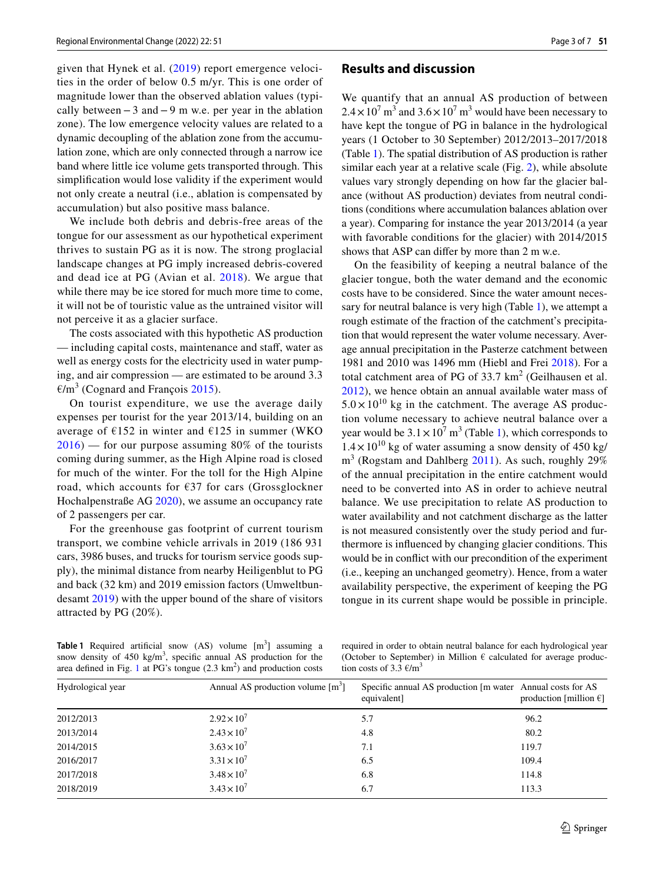given that Hynek et al. ([2019](#page-5-4)) report emergence velocities in the order of below 0.5 m/yr. This is one order of magnitude lower than the observed ablation values (typically between−3 and−9 m w.e. per year in the ablation zone). The low emergence velocity values are related to a dynamic decoupling of the ablation zone from the accumulation zone, which are only connected through a narrow ice band where little ice volume gets transported through. This simplifcation would lose validity if the experiment would not only create a neutral (i.e., ablation is compensated by accumulation) but also positive mass balance.

We include both debris and debris-free areas of the tongue for our assessment as our hypothetical experiment thrives to sustain PG as it is now. The strong proglacial landscape changes at PG imply increased debris-covered and dead ice at PG (Avian et al. [2018](#page-5-5)). We argue that while there may be ice stored for much more time to come, it will not be of touristic value as the untrained visitor will not perceive it as a glacier surface.

The costs associated with this hypothetic AS production — including capital costs, maintenance and staf, water as well as energy costs for the electricity used in water pumping, and air compression — are estimated to be around 3.3  $\epsilon/m^3$  (Cognard and François [2015](#page-5-6)).

On tourist expenditure, we use the average daily expenses per tourist for the year 2013/14, building on an average of  $E152$  in winter and  $E125$  in summer (WKO  $2016$  — for our purpose assuming 80% of the tourists coming during summer, as the High Alpine road is closed for much of the winter. For the toll for the High Alpine road, which accounts for €37 for cars (Grossglockner Hochalpenstraße AG [2020\)](#page-5-7), we assume an occupancy rate of 2 passengers per car.

For the greenhouse gas footprint of current tourism transport, we combine vehicle arrivals in 2019 (186 931 cars, 3986 buses, and trucks for tourism service goods supply), the minimal distance from nearby Heiligenblut to PG and back (32 km) and 2019 emission factors (Umweltbundesamt [2019\)](#page-6-14) with the upper bound of the share of visitors attracted by PG (20%).

#### **Results and discussion**

We quantify that an annual AS production of between  $2.4 \times 10^7$  m<sup>3</sup> and  $3.6 \times 10^7$  m<sup>3</sup> would have been necessary to have kept the tongue of PG in balance in the hydrological years (1 October to 30 September) 2012/2013–2017/2018 (Table [1\)](#page-2-0). The spatial distribution of AS production is rather similar each year at a relative scale (Fig. [2](#page-3-0)), while absolute values vary strongly depending on how far the glacier balance (without AS production) deviates from neutral conditions (conditions where accumulation balances ablation over a year). Comparing for instance the year 2013/2014 (a year with favorable conditions for the glacier) with 2014/2015 shows that ASP can difer by more than 2 m w.e.

On the feasibility of keeping a neutral balance of the glacier tongue, both the water demand and the economic costs have to be considered. Since the water amount necessary for neutral balance is very high (Table [1](#page-2-0)), we attempt a rough estimate of the fraction of the catchment's precipitation that would represent the water volume necessary. Average annual precipitation in the Pasterze catchment between 1981 and 2010 was 1496 mm (Hiebl and Frei [2018](#page-5-8)). For a total catchment area of PG of  $33.7 \text{ km}^2$  (Geilhausen et al. [2012\)](#page-5-9), we hence obtain an annual available water mass of  $5.0 \times 10^{10}$  kg in the catchment. The average AS production volume necessary to achieve neutral balance over a year would be  $3.1 \times 10^7$  m<sup>3</sup> (Table [1\)](#page-2-0), which corresponds to  $1.4 \times 10^{10}$  kg of water assuming a snow density of 450 kg/  $m<sup>3</sup>$  (Rogstam and Dahlberg [2011](#page-6-15)). As such, roughly 29% of the annual precipitation in the entire catchment would need to be converted into AS in order to achieve neutral balance. We use precipitation to relate AS production to water availability and not catchment discharge as the latter is not measured consistently over the study period and furthermore is infuenced by changing glacier conditions. This would be in confict with our precondition of the experiment (i.e., keeping an unchanged geometry). Hence, from a water availability perspective, the experiment of keeping the PG tongue in its current shape would be possible in principle.

<span id="page-2-0"></span>**Table 1** Required artificial snow (AS) volume [m<sup>3</sup>] assuming a snow density of  $450 \text{ kg/m}^3$ , specific annual AS production for the area defined in Fig. [1](#page-1-0) at PG's tongue  $(2.3 \text{ km}^2)$  and production costs

required in order to obtain neutral balance for each hydrological year (October to September) in Million  $\epsilon$  calculated for average production costs of 3.3  $\epsilon/m^3$ 

| Hydrological year | Annual AS production volume $[m^3]$ | Specific annual AS production [m water Annual costs for AS<br>equivalent] | production [million $\in$ ] |
|-------------------|-------------------------------------|---------------------------------------------------------------------------|-----------------------------|
| 2012/2013         | $2.92 \times 10^{7}$                | 5.7                                                                       | 96.2                        |
| 2013/2014         | $2.43 \times 10^{7}$                | 4.8                                                                       | 80.2                        |
| 2014/2015         | $3.63 \times 10^{7}$                | 7.1                                                                       | 119.7                       |
| 2016/2017         | $3.31 \times 10^{7}$                | 6.5                                                                       | 109.4                       |
| 2017/2018         | $3.48 \times 10^{7}$                | 6.8                                                                       | 114.8                       |
| 2018/2019         | $3.43 \times 10^{7}$                | 6.7                                                                       | 113.3                       |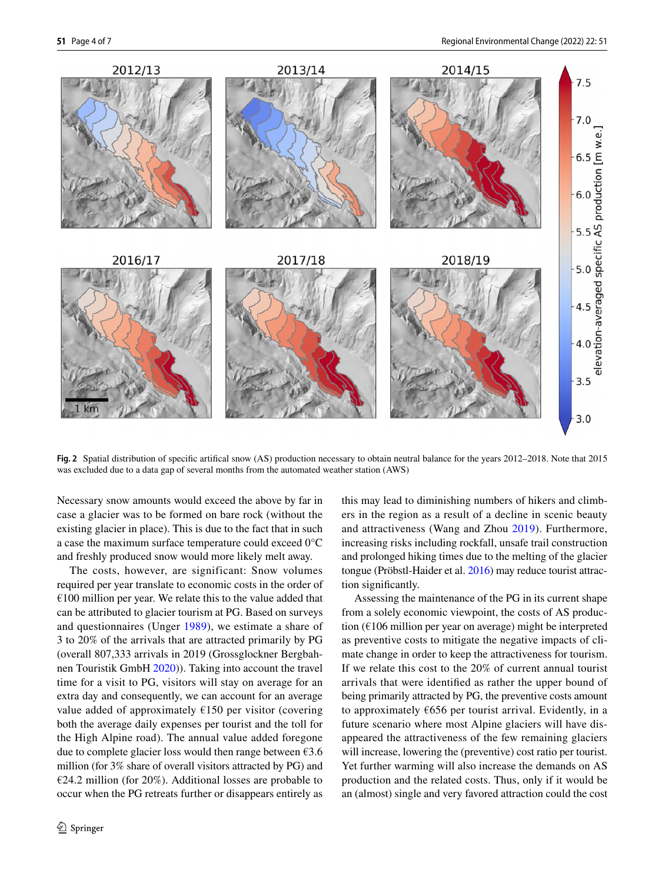

<span id="page-3-0"></span>**Fig. 2** Spatial distribution of specifc artifcal snow (AS) production necessary to obtain neutral balance for the years 2012–2018. Note that 2015 was excluded due to a data gap of several months from the automated weather station (AWS)

Necessary snow amounts would exceed the above by far in case a glacier was to be formed on bare rock (without the existing glacier in place). This is due to the fact that in such a case the maximum surface temperature could exceed 0°C and freshly produced snow would more likely melt away.

The costs, however, are significant: Snow volumes required per year translate to economic costs in the order of  $€100$  million per year. We relate this to the value added that can be attributed to glacier tourism at PG. Based on surveys and questionnaires (Unger [1989](#page-6-4)), we estimate a share of 3 to 20% of the arrivals that are attracted primarily by PG (overall 807,333 arrivals in 2019 (Grossglockner Bergbahnen Touristik GmbH [2020](#page-5-1))). Taking into account the travel time for a visit to PG, visitors will stay on average for an extra day and consequently, we can account for an average value added of approximately  $£150$  per visitor (covering both the average daily expenses per tourist and the toll for the High Alpine road). The annual value added foregone due to complete glacier loss would then range between  $\epsilon$ 3.6 million (for 3% share of overall visitors attracted by PG) and €24.2 million (for 20%). Additional losses are probable to occur when the PG retreats further or disappears entirely as this may lead to diminishing numbers of hikers and climbers in the region as a result of a decline in scenic beauty and attractiveness (Wang and Zhou [2019\)](#page-6-16). Furthermore, increasing risks including rockfall, unsafe trail construction and prolonged hiking times due to the melting of the glacier tongue (Pröbstl-Haider et al. [2016\)](#page-6-17) may reduce tourist attraction signifcantly.

Assessing the maintenance of the PG in its current shape from a solely economic viewpoint, the costs of AS production (€106 million per year on average) might be interpreted as preventive costs to mitigate the negative impacts of climate change in order to keep the attractiveness for tourism. If we relate this cost to the 20% of current annual tourist arrivals that were identifed as rather the upper bound of being primarily attracted by PG, the preventive costs amount to approximately  $\epsilon$ 656 per tourist arrival. Evidently, in a future scenario where most Alpine glaciers will have disappeared the attractiveness of the few remaining glaciers will increase, lowering the (preventive) cost ratio per tourist. Yet further warming will also increase the demands on AS production and the related costs. Thus, only if it would be an (almost) single and very favored attraction could the cost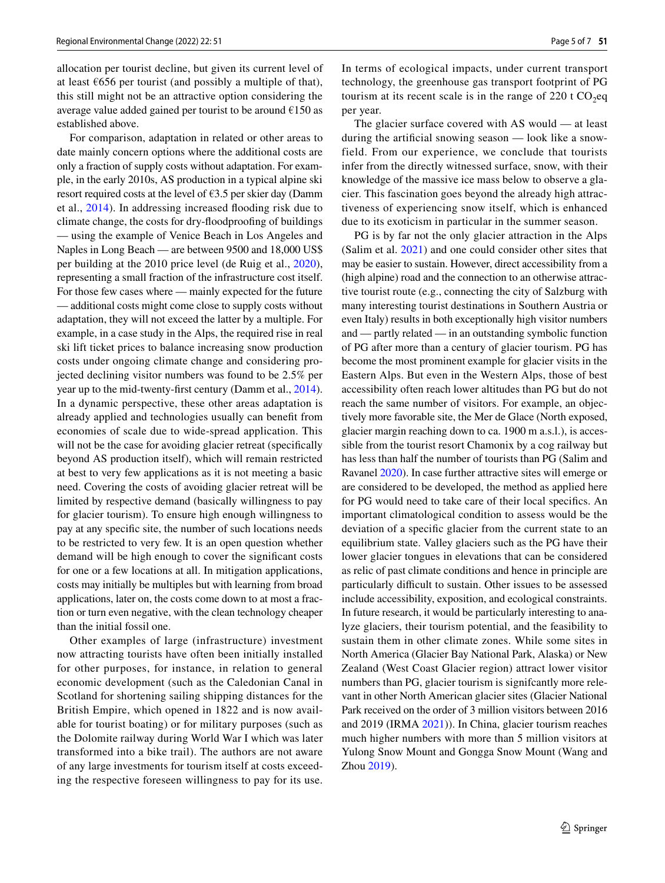allocation per tourist decline, but given its current level of at least  $6656$  per tourist (and possibly a multiple of that), this still might not be an attractive option considering the average value added gained per tourist to be around  $\epsilon$ 150 as established above.

For comparison, adaptation in related or other areas to date mainly concern options where the additional costs are only a fraction of supply costs without adaptation. For example, in the early 2010s, AS production in a typical alpine ski resort required costs at the level of  $63.5$  per skier day (Damm et al., [2014\)](#page-5-10). In addressing increased fooding risk due to climate change, the costs for dry-foodproofng of buildings — using the example of Venice Beach in Los Angeles and Naples in Long Beach — are between 9500 and 18,000 US\$ per building at the 2010 price level (de Ruig et al., [2020](#page-5-11)), representing a small fraction of the infrastructure cost itself. For those few cases where — mainly expected for the future — additional costs might come close to supply costs without adaptation, they will not exceed the latter by a multiple. For example, in a case study in the Alps, the required rise in real ski lift ticket prices to balance increasing snow production costs under ongoing climate change and considering projected declining visitor numbers was found to be 2.5% per year up to the mid-twenty-frst century (Damm et al., [2014](#page-5-10)). In a dynamic perspective, these other areas adaptation is already applied and technologies usually can beneft from economies of scale due to wide-spread application. This will not be the case for avoiding glacier retreat (specifically beyond AS production itself), which will remain restricted at best to very few applications as it is not meeting a basic need. Covering the costs of avoiding glacier retreat will be limited by respective demand (basically willingness to pay for glacier tourism). To ensure high enough willingness to pay at any specifc site, the number of such locations needs to be restricted to very few. It is an open question whether demand will be high enough to cover the signifcant costs for one or a few locations at all. In mitigation applications, costs may initially be multiples but with learning from broad applications, later on, the costs come down to at most a fraction or turn even negative, with the clean technology cheaper than the initial fossil one.

Other examples of large (infrastructure) investment now attracting tourists have often been initially installed for other purposes, for instance, in relation to general economic development (such as the Caledonian Canal in Scotland for shortening sailing shipping distances for the British Empire, which opened in 1822 and is now available for tourist boating) or for military purposes (such as the Dolomite railway during World War I which was later transformed into a bike trail). The authors are not aware of any large investments for tourism itself at costs exceeding the respective foreseen willingness to pay for its use.

In terms of ecological impacts, under current transport technology, the greenhouse gas transport footprint of PG tourism at its recent scale is in the range of 220 t  $CO<sub>2</sub>$ eq per year.

The glacier surface covered with AS would — at least during the artifcial snowing season — look like a snowfield. From our experience, we conclude that tourists infer from the directly witnessed surface, snow, with their knowledge of the massive ice mass below to observe a glacier. This fascination goes beyond the already high attractiveness of experiencing snow itself, which is enhanced due to its exoticism in particular in the summer season.

PG is by far not the only glacier attraction in the Alps (Salim et al. [2021\)](#page-6-18) and one could consider other sites that may be easier to sustain. However, direct accessibility from a (high alpine) road and the connection to an otherwise attractive tourist route (e.g., connecting the city of Salzburg with many interesting tourist destinations in Southern Austria or even Italy) results in both exceptionally high visitor numbers and — partly related — in an outstanding symbolic function of PG after more than a century of glacier tourism. PG has become the most prominent example for glacier visits in the Eastern Alps. But even in the Western Alps, those of best accessibility often reach lower altitudes than PG but do not reach the same number of visitors. For example, an objectively more favorable site, the Mer de Glace (North exposed, glacier margin reaching down to ca. 1900 m a.s.l.), is accessible from the tourist resort Chamonix by a cog railway but has less than half the number of tourists than PG (Salim and Ravanel [2020](#page-6-5)). In case further attractive sites will emerge or are considered to be developed, the method as applied here for PG would need to take care of their local specifcs. An important climatological condition to assess would be the deviation of a specifc glacier from the current state to an equilibrium state. Valley glaciers such as the PG have their lower glacier tongues in elevations that can be considered as relic of past climate conditions and hence in principle are particularly difficult to sustain. Other issues to be assessed include accessibility, exposition, and ecological constraints. In future research, it would be particularly interesting to analyze glaciers, their tourism potential, and the feasibility to sustain them in other climate zones. While some sites in North America (Glacier Bay National Park, Alaska) or New Zealand (West Coast Glacier region) attract lower visitor numbers than PG, glacier tourism is signifcantly more relevant in other North American glacier sites (Glacier National Park received on the order of 3 million visitors between 2016 and 2019 (IRMA [2021](#page-5-12))). In China, glacier tourism reaches much higher numbers with more than 5 million visitors at Yulong Snow Mount and Gongga Snow Mount (Wang and Zhou [2019](#page-6-16)).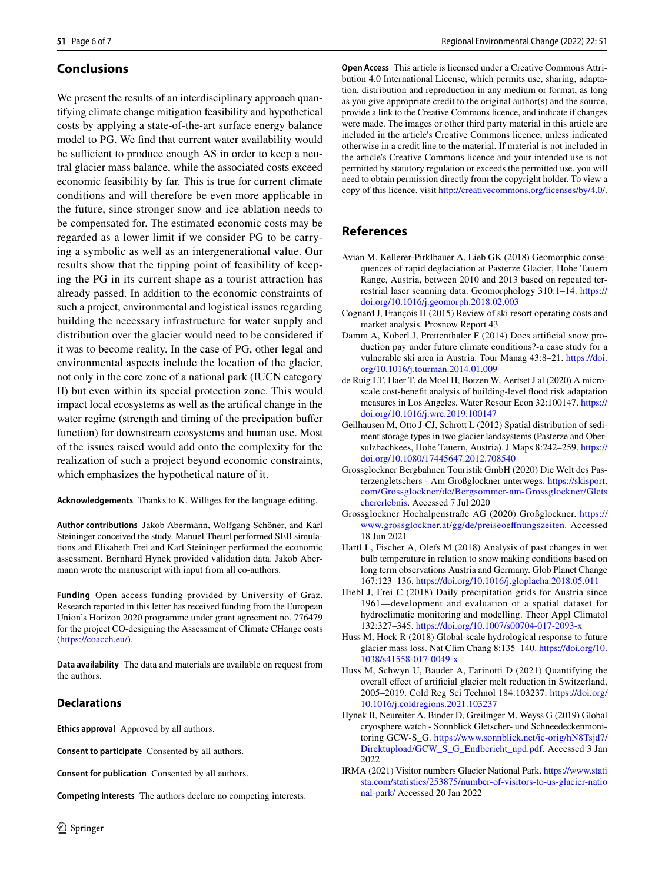# **Conclusions**

We present the results of an interdisciplinary approach quantifying climate change mitigation feasibility and hypothetical costs by applying a state-of-the-art surface energy balance model to PG. We fnd that current water availability would be sufficient to produce enough AS in order to keep a neutral glacier mass balance, while the associated costs exceed economic feasibility by far. This is true for current climate conditions and will therefore be even more applicable in the future, since stronger snow and ice ablation needs to be compensated for. The estimated economic costs may be regarded as a lower limit if we consider PG to be carrying a symbolic as well as an intergenerational value. Our results show that the tipping point of feasibility of keeping the PG in its current shape as a tourist attraction has already passed. In addition to the economic constraints of such a project, environmental and logistical issues regarding building the necessary infrastructure for water supply and distribution over the glacier would need to be considered if it was to become reality. In the case of PG, other legal and environmental aspects include the location of the glacier, not only in the core zone of a national park (IUCN category II) but even within its special protection zone. This would impact local ecosystems as well as the artifcal change in the water regime (strength and timing of the precipation bufer function) for downstream ecosystems and human use. Most of the issues raised would add onto the complexity for the realization of such a project beyond economic constraints, which emphasizes the hypothetical nature of it.

**Acknowledgements** Thanks to K. Williges for the language editing.

**Author contributions** Jakob Abermann, Wolfgang Schöner, and Karl Steininger conceived the study. Manuel Theurl performed SEB simulations and Elisabeth Frei and Karl Steininger performed the economic assessment. Bernhard Hynek provided validation data. Jakob Abermann wrote the manuscript with input from all co-authors.

**Funding** Open access funding provided by University of Graz. Research reported in this letter has received funding from the European Union's Horizon 2020 programme under grant agreement no. 776479 for the project CO-designing the Assessment of Climate CHange costs (<https://coacch.eu/>).

**Data availability** The data and materials are available on request from the authors.

### **Declarations**

**Ethics approval** Approved by all authors.

**Consent to participate** Consented by all authors.

**Consent for publication** Consented by all authors.

**Competing interests** The authors declare no competing interests.

**Open Access** This article is licensed under a Creative Commons Attribution 4.0 International License, which permits use, sharing, adaptation, distribution and reproduction in any medium or format, as long as you give appropriate credit to the original author(s) and the source, provide a link to the Creative Commons licence, and indicate if changes were made. The images or other third party material in this article are included in the article's Creative Commons licence, unless indicated otherwise in a credit line to the material. If material is not included in the article's Creative Commons licence and your intended use is not permitted by statutory regulation or exceeds the permitted use, you will need to obtain permission directly from the copyright holder. To view a copy of this licence, visit<http://creativecommons.org/licenses/by/4.0/>.

# **References**

- <span id="page-5-5"></span>Avian M, Kellerer-Pirklbauer A, Lieb GK (2018) Geomorphic consequences of rapid deglaciation at Pasterze Glacier, Hohe Tauern Range, Austria, between 2010 and 2013 based on repeated terrestrial laser scanning data. Geomorphology 310:1–14. [https://](https://doi.org/10.1016/j.geomorph.2018.02.003) [doi.org/10.1016/j.geomorph.2018.02.003](https://doi.org/10.1016/j.geomorph.2018.02.003)
- <span id="page-5-6"></span>Cognard J, François H (2015) Review of ski resort operating costs and market analysis. Prosnow Report 43
- <span id="page-5-10"></span>Damm A, Köberl J, Prettenthaler F (2014) Does artifcial snow production pay under future climate conditions?-a case study for a vulnerable ski area in Austria. Tour Manag 43:8–21. [https://doi.](https://doi.org/10.1016/j.tourman.2014.01.009) [org/10.1016/j.tourman.2014.01.009](https://doi.org/10.1016/j.tourman.2014.01.009)
- <span id="page-5-11"></span>de Ruig LT, Haer T, de Moel H, Botzen W, Aertset J al (2020) A microscale cost-benefit analysis of building-level flood risk adaptation measures in Los Angeles. Water Resour Econ 32:100147. [https://](https://doi.org/10.1016/j.wre.2019.100147) [doi.org/10.1016/j.wre.2019.100147](https://doi.org/10.1016/j.wre.2019.100147)
- <span id="page-5-9"></span>Geilhausen M, Otto J-CJ, Schrott L (2012) Spatial distribution of sediment storage types in two glacier landsystems (Pasterze and Obersulzbachkees, Hohe Tauern, Austria). J Maps 8:242–259. [https://](https://doi.org/10.1080/17445647.2012.708540) [doi.org/10.1080/17445647.2012.708540](https://doi.org/10.1080/17445647.2012.708540)
- <span id="page-5-1"></span>Grossglockner Bergbahnen Touristik GmbH (2020) Die Welt des Pasterzengletschers - Am Großglockner unterwegs. [https://skisport.](https://skisport.com/Grossglockner/de/Bergsommer-am-Grossglockner/Gletschererlebnis) [com/Grossglockner/de/Bergsommer-am-Grossglockner/Glets](https://skisport.com/Grossglockner/de/Bergsommer-am-Grossglockner/Gletschererlebnis) [chererlebnis.](https://skisport.com/Grossglockner/de/Bergsommer-am-Grossglockner/Gletschererlebnis) Accessed 7 Jul 2020
- <span id="page-5-7"></span>Grossglockner Hochalpenstraße AG (2020) Großglockner. [https://](https://www.grossglockner.at/gg/de/preiseoeffnungszeiten) [www.grossglockner.at/gg/de/preiseoefnungszeiten.](https://www.grossglockner.at/gg/de/preiseoeffnungszeiten) Accessed 18 Jun 2021
- <span id="page-5-3"></span>Hartl L, Fischer A, Olefs M (2018) Analysis of past changes in wet bulb temperature in relation to snow making conditions based on long term observations Austria and Germany. Glob Planet Change 167:123–136. <https://doi.org/10.1016/j.gloplacha.2018.05.011>
- <span id="page-5-8"></span>Hiebl J, Frei C (2018) Daily precipitation grids for Austria since 1961—development and evaluation of a spatial dataset for hydroclimatic monitoring and modelling. Theor Appl Climatol 132:327–345. <https://doi.org/10.1007/s00704-017-2093-x>
- <span id="page-5-0"></span>Huss M, Hock R (2018) Global-scale hydrological response to future glacier mass loss. Nat Clim Chang 8:135–140. [https://doi.org/10.](https://doi.org/10.1038/s41558-017-0049-x) [1038/s41558-017-0049-x](https://doi.org/10.1038/s41558-017-0049-x)
- <span id="page-5-2"></span>Huss M, Schwyn U, Bauder A, Farinotti D (2021) Quantifying the overall efect of artifcial glacier melt reduction in Switzerland, 2005–2019. Cold Reg Sci Technol 184:103237. [https://doi.org/](https://doi.org/10.1016/j.coldregions.2021.103237) [10.1016/j.coldregions.2021.103237](https://doi.org/10.1016/j.coldregions.2021.103237)
- <span id="page-5-4"></span>Hynek B, Neureiter A, Binder D, Greilinger M, Weyss G (2019) Global cryosphere watch - Sonnblick Gletscher- und Schneedeckenmonitoring GCW-S\_G. [https://www.sonnblick.net/ic-orig/hN8Tsjd7/](https://www.sonnblick.net/ic-orig/hN8Tsjd7/Direktupload/GCW_S_G_Endbericht_upd.pdf) [Direktupload/GCW\\_S\\_G\\_Endbericht\\_upd.pdf](https://www.sonnblick.net/ic-orig/hN8Tsjd7/Direktupload/GCW_S_G_Endbericht_upd.pdf). Accessed 3 Jan 2022
- <span id="page-5-12"></span>IRMA (2021) Visitor numbers Glacier National Park. [https://www.stati](https://www.statista.com/statistics/253875/number-of-visitors-to-us-glacier-national-park/) [sta.com/statistics/253875/number-of-visitors-to-us-glacier-natio](https://www.statista.com/statistics/253875/number-of-visitors-to-us-glacier-national-park/) [nal-park/](https://www.statista.com/statistics/253875/number-of-visitors-to-us-glacier-national-park/) Accessed 20 Jan 2022